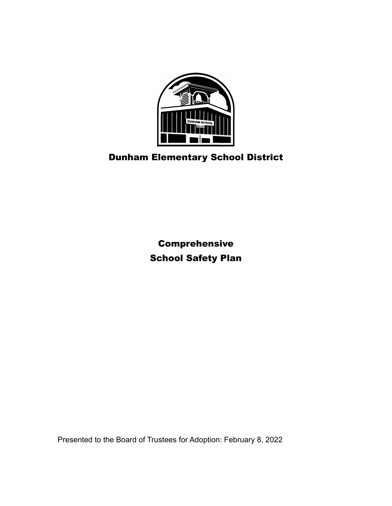

# Dunham Elementary School District

Comprehensive School Safety Plan

Presented to the Board of Trustees for Adoption: February 8, 2022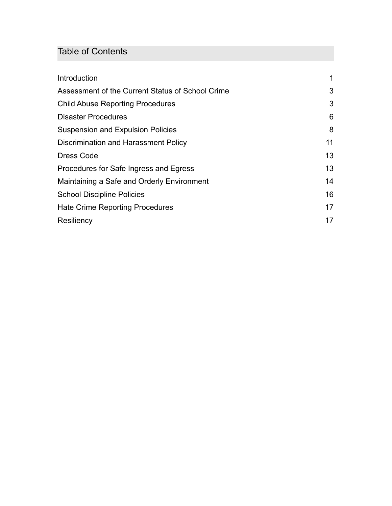# Table of Contents

| Introduction                                     |    |
|--------------------------------------------------|----|
| Assessment of the Current Status of School Crime | 3  |
| <b>Child Abuse Reporting Procedures</b>          | 3  |
| <b>Disaster Procedures</b>                       | 6  |
| <b>Suspension and Expulsion Policies</b>         | 8  |
| Discrimination and Harassment Policy             | 11 |
| Dress Code                                       | 13 |
| Procedures for Safe Ingress and Egress           | 13 |
| Maintaining a Safe and Orderly Environment       | 14 |
| <b>School Discipline Policies</b>                | 16 |
| <b>Hate Crime Reporting Procedures</b>           | 17 |
| Resiliency                                       | 17 |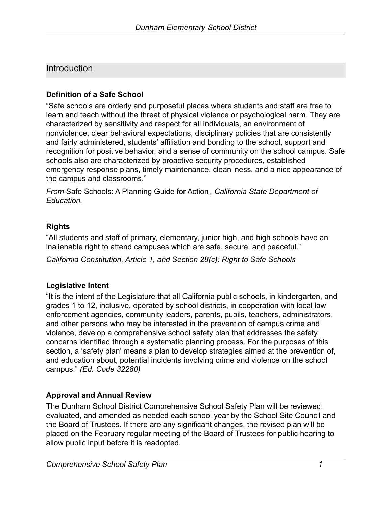## <span id="page-2-0"></span>**Introduction**

#### **Definition of a Safe School**

"Safe schools are orderly and purposeful places where students and staff are free to learn and teach without the threat of physical violence or psychological harm. They are characterized by sensitivity and respect for all individuals, an environment of nonviolence, clear behavioral expectations, disciplinary policies that are consistently and fairly administered, students' affiliation and bonding to the school, support and recognition for positive behavior, and a sense of community on the school campus. Safe schools also are characterized by proactive security procedures, established emergency response plans, timely maintenance, cleanliness, and a nice appearance of the campus and classrooms."

*From* Safe Schools: A Planning Guide for Action *, California State Department of Education.*

#### **Rights**

"All students and staff of primary, elementary, junior high, and high schools have an inalienable right to attend campuses which are safe, secure, and peaceful."

*California Constitution, Article 1, and Section 28(c): Right to Safe Schools*

#### **Legislative Intent**

"It is the intent of the Legislature that all California public schools, in kindergarten, and grades 1 to 12, inclusive, operated by school districts, in cooperation with local law enforcement agencies, community leaders, parents, pupils, teachers, administrators, and other persons who may be interested in the prevention of campus crime and violence, develop a comprehensive school safety plan that addresses the safety concerns identified through a systematic planning process. For the purposes of this section, a 'safety plan' means a plan to develop strategies aimed at the prevention of, and education about, potential incidents involving crime and violence on the school campus." *(Ed. Code 32280)*

#### **Approval and Annual Review**

The Dunham School District Comprehensive School Safety Plan will be reviewed, evaluated, and amended as needed each school year by the School Site Council and the Board of Trustees. If there are any significant changes, the revised plan will be placed on the February regular meeting of the Board of Trustees for public hearing to allow public input before it is readopted.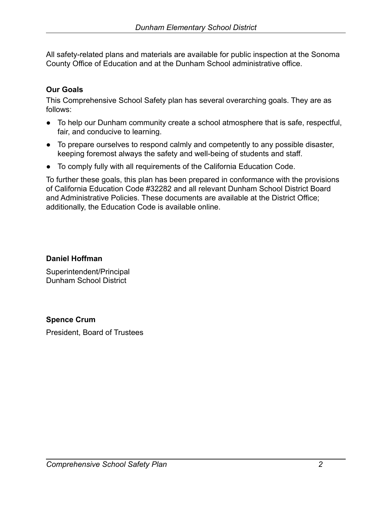All safety-related plans and materials are available for public inspection at the Sonoma County Office of Education and at the Dunham School administrative office.

### **Our Goals**

This Comprehensive School Safety plan has several overarching goals. They are as follows:

- To help our Dunham community create a school atmosphere that is safe, respectful, fair, and conducive to learning.
- To prepare ourselves to respond calmly and competently to any possible disaster, keeping foremost always the safety and well-being of students and staff.
- To comply fully with all requirements of the California Education Code.

To further these goals, this plan has been prepared in conformance with the provisions of California Education Code #32282 and all relevant Dunham School District Board and Administrative Policies. These documents are available at the District Office; additionally, the Education Code is available online.

**Daniel Hoffman**

Superintendent/Principal Dunham School District

#### **Spence Crum**

President, Board of Trustees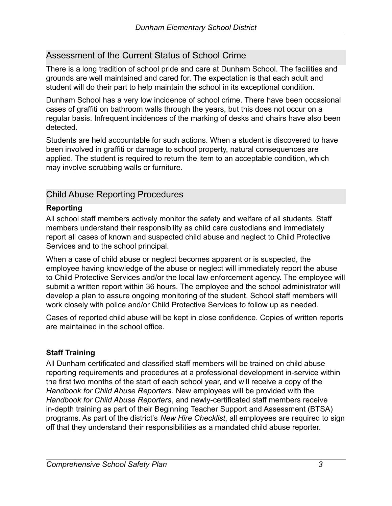## <span id="page-4-0"></span>Assessment of the Current Status of School Crime

There is a long tradition of school pride and care at Dunham School. The facilities and grounds are well maintained and cared for. The expectation is that each adult and student will do their part to help maintain the school in its exceptional condition.

Dunham School has a very low incidence of school crime. There have been occasional cases of graffiti on bathroom walls through the years, but this does not occur on a regular basis. Infrequent incidences of the marking of desks and chairs have also been detected.

Students are held accountable for such actions. When a student is discovered to have been involved in graffiti or damage to school property, natural consequences are applied. The student is required to return the item to an acceptable condition, which may involve scrubbing walls or furniture.

## <span id="page-4-1"></span>Child Abuse Reporting Procedures

#### **Reporting**

All school staff members actively monitor the safety and welfare of all students. Staff members understand their responsibility as child care custodians and immediately report all cases of known and suspected child abuse and neglect to Child Protective Services and to the school principal.

When a case of child abuse or neglect becomes apparent or is suspected, the employee having knowledge of the abuse or neglect will immediately report the abuse to Child Protective Services and/or the local law enforcement agency. The employee will submit a written report within 36 hours. The employee and the school administrator will develop a plan to assure ongoing monitoring of the student. School staff members will work closely with police and/or Child Protective Services to follow up as needed.

Cases of reported child abuse will be kept in close confidence. Copies of written reports are maintained in the school office.

### **Staff Training**

All Dunham certificated and classified staff members will be trained on child abuse reporting requirements and procedures at a professional development in-service within the first two months of the start of each school year, and will receive a copy of the *Handbook for Child Abuse Reporters*. New employees will be provided with the *Handbook for Child Abuse Reporters*, and newly-certificated staff members receive in-depth training as part of their Beginning Teacher Support and Assessment (BTSA) programs. As part of the district's *New Hire Checklist*, all employees are required to sign off that they understand their responsibilities as a mandated child abuse reporter.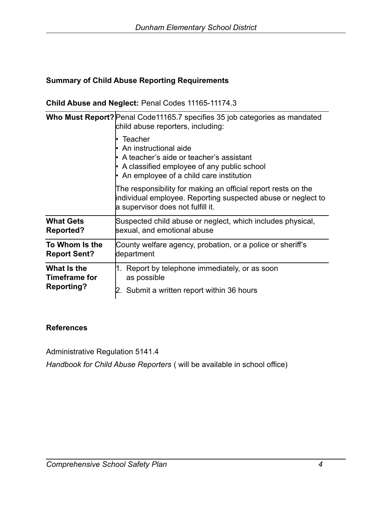#### **Summary of Child Abuse Reporting Requirements**

#### **Child Abuse and Neglect:** Penal Codes 11165-11174.3

|                      | Who Must Report? Penal Code11165.7 specifies 35 job categories as mandated<br>child abuse reporters, including:                                                                                |  |  |  |  |  |  |  |  |
|----------------------|------------------------------------------------------------------------------------------------------------------------------------------------------------------------------------------------|--|--|--|--|--|--|--|--|
|                      | Teacher<br>• An instructional aide<br>$\cdot$ A teacher's aide or teacher's assistant<br>$\cdot$ A classified employee of any public school<br>$\cdot$ An employee of a child care institution |  |  |  |  |  |  |  |  |
|                      | The responsibility for making an official report rests on the<br>individual employee. Reporting suspected abuse or neglect to<br>a supervisor does not fulfill it.                             |  |  |  |  |  |  |  |  |
| <b>What Gets</b>     | Suspected child abuse or neglect, which includes physical,                                                                                                                                     |  |  |  |  |  |  |  |  |
| <b>Reported?</b>     | sexual, and emotional abuse                                                                                                                                                                    |  |  |  |  |  |  |  |  |
| To Whom Is the       | County welfare agency, probation, or a police or sheriff's                                                                                                                                     |  |  |  |  |  |  |  |  |
| <b>Report Sent?</b>  | department                                                                                                                                                                                     |  |  |  |  |  |  |  |  |
| What Is the          | 1. Report by telephone immediately, or as soon                                                                                                                                                 |  |  |  |  |  |  |  |  |
| <b>Timeframe for</b> | as possible                                                                                                                                                                                    |  |  |  |  |  |  |  |  |
| <b>Reporting?</b>    | 2. Submit a written report within 36 hours                                                                                                                                                     |  |  |  |  |  |  |  |  |

#### **References**

Administrative Regulation 5141.4

*Handbook for Child Abuse Reporters* ( will be available in school office)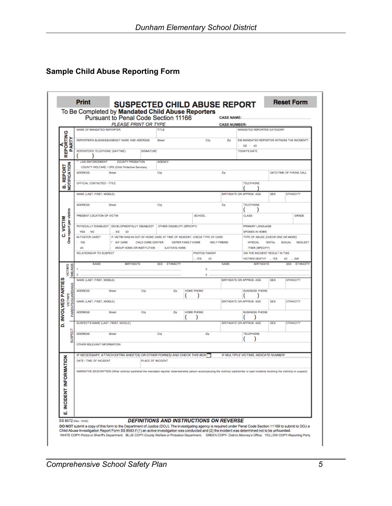## **Sample Child Abuse Reporting Form**

|                                    |                   | To Be Completed by Mandated Child Abuse Reporters                                                                                                                                        | Pursuant to Penal Code Section 11166                                                           |                   |                                                |                          |                   |                    | <b>CASE NAME:</b>   |                                             |            |                                |
|------------------------------------|-------------------|------------------------------------------------------------------------------------------------------------------------------------------------------------------------------------------|------------------------------------------------------------------------------------------------|-------------------|------------------------------------------------|--------------------------|-------------------|--------------------|---------------------|---------------------------------------------|------------|--------------------------------|
|                                    |                   |                                                                                                                                                                                          | PLEASE PRINT OR TYPE                                                                           |                   |                                                |                          |                   |                    | <b>CASE NUMBER:</b> |                                             |            |                                |
| ပ                                  |                   | NAME OF MANDATED REPORTER                                                                                                                                                                |                                                                                                |                   | TITLE                                          |                          |                   |                    |                     | MANDATED REPORTER CATEGORY                  |            |                                |
| EPORTIN                            |                   | REPORTER'S BUSINESS/AGENCY NAME AND ADDRESS                                                                                                                                              |                                                                                                |                   | Street                                         |                          |                   | City               | Zip                 | DID MANDATED REPORTER WITNESS THE INCIDENT? |            |                                |
|                                    | <b>ARTY</b>       |                                                                                                                                                                                          |                                                                                                |                   |                                                |                          |                   |                    |                     | ES I NO                                     |            |                                |
|                                    | o                 | REPORTER'S TELEPHONE (DAYTIME)                                                                                                                                                           |                                                                                                | SIGNATURE         |                                                |                          |                   |                    |                     | <b>TODAY'S DATE</b>                         |            |                                |
| œ                                  |                   | <b>LAW ENFORCEMENT</b>                                                                                                                                                                   | <b>COUNTY PROBATION</b>                                                                        |                   | <b>AGENCY</b>                                  |                          |                   |                    |                     |                                             |            |                                |
|                                    |                   |                                                                                                                                                                                          | COUNTY WELFARE / CPS (Child Protective Services)                                               |                   |                                                |                          |                   |                    |                     |                                             |            |                                |
|                                    |                   | <b>ADDRESS</b>                                                                                                                                                                           | <b>Street</b>                                                                                  |                   | City                                           |                          |                   |                    | Zp                  |                                             |            | DATE/TIME OF PHONE CALL        |
| <b>B. REPORT</b><br>NOTIFICATION   |                   |                                                                                                                                                                                          |                                                                                                |                   |                                                |                          |                   |                    |                     |                                             |            |                                |
|                                    |                   | OFFICIAL CONTACTED - TITLE                                                                                                                                                               |                                                                                                |                   |                                                |                          |                   |                    |                     | <b>TELEPHONE</b>                            |            |                                |
|                                    |                   | NAME (LAST, FIRST, MIDDLE)                                                                                                                                                               |                                                                                                |                   |                                                |                          |                   |                    |                     | BIRTHDATE OR APPROX. AGE                    | <b>SEX</b> | <b>ETHNICITY</b>               |
|                                    |                   |                                                                                                                                                                                          |                                                                                                |                   |                                                |                          |                   |                    |                     |                                             |            |                                |
|                                    |                   | <b>ADDRESS</b>                                                                                                                                                                           | Street                                                                                         |                   | City                                           |                          |                   |                    | Ζp                  | <b>TELEPHONE</b>                            |            |                                |
|                                    |                   | PRESENT LOCATION OF VICTIM                                                                                                                                                               |                                                                                                |                   |                                                |                          | <b>SCHOOL</b>     |                    |                     | <b>CLASS</b>                                |            | <b>GRADE</b>                   |
|                                    |                   |                                                                                                                                                                                          |                                                                                                |                   |                                                |                          |                   |                    |                     |                                             |            |                                |
| One report per victim<br>VICTIM    |                   | PHYSICALLY DISABLED? DEVELOPMENTALLY DISABLED?                                                                                                                                           |                                                                                                |                   | OTHER DISABILITY (SPECIFY)                     |                          |                   |                    |                     | PRIMARY LANGUAGE                            |            |                                |
|                                    |                   | YES  NO                                                                                                                                                                                  | <b>ES</b><br>40                                                                                |                   |                                                |                          |                   |                    |                     | SPOKEN IN HOME                              |            |                                |
|                                    |                   | IN FOSTER CARE?<br>/ES                                                                                                                                                                   | IF VICTIM WAS IN OUT-OF-HOME CARE AT TIME OF INCIDENT, CHECK TYPE OF CARE:<br><b>C MY CARE</b> | CHILD CARE CENTER |                                                | <b>OSTER FAMILY HOME</b> |                   | <b>MILY FRIEND</b> |                     | TYPE OF ABUSE (CHECK ONE OR MORE)           |            | HYSICAL IENTAL SEXUAL NEGLECT  |
|                                    |                   | ЧO                                                                                                                                                                                       | <b>SROUP HOME OR INSTITUTION   ELATIVE'S HOME</b>                                              |                   |                                                |                          |                   |                    |                     | THER (SPECIFY)                              |            |                                |
|                                    |                   | <b>RELATIONSHIP TO SUSPECT</b>                                                                                                                                                           |                                                                                                |                   |                                                |                          | PHOTOS TAKEN?     |                    |                     | DID THE INCIDENT RESULT IN THIS             |            |                                |
|                                    |                   |                                                                                                                                                                                          |                                                                                                |                   |                                                |                          | $L$ /ES           | 40                 |                     | VICTIM'S DEATH? __ /ES                      |            | VO  JNK                        |
| VICTIMS                            |                   | <b>NAME</b>                                                                                                                                                                              | <b>BIRTHDATE</b>                                                                               |                   | <b>SEX</b><br><b>ETHNICITY</b>                 |                          | 3.                |                    | <b>NAME</b>         | <b>BIRTHDATE</b>                            |            | <b>SEX</b><br><b>ETHNICITY</b> |
|                                    | <b>SIBLINGS</b>   | 2.                                                                                                                                                                                       |                                                                                                |                   |                                                |                          | 4.                |                    |                     |                                             |            |                                |
|                                    |                   | NAME (LAST, FIRST, MIDDLE)                                                                                                                                                               |                                                                                                |                   |                                                |                          |                   |                    |                     | BIRTHDATE OR APPROX, AGE                    | SEX        | <b>ETHNICITY</b>               |
|                                    |                   | <b>ADDRESS</b>                                                                                                                                                                           | Street                                                                                         | City              |                                                | Zp                       | HOME PHONE        |                    |                     | <b>BUSINESS PHONE</b>                       |            |                                |
|                                    |                   |                                                                                                                                                                                          |                                                                                                |                   |                                                |                          |                   |                    |                     |                                             |            |                                |
| <b>INVOLVED PARTIES</b><br>VICTIMS | PARENTS/GUARDIANS | NAME (LAST, FIRST, MIDDLE)                                                                                                                                                               |                                                                                                |                   |                                                |                          |                   |                    |                     | BIRTHDATE OR APPROX. AGE                    | <b>SEX</b> | <b>ETHNICITY</b>               |
|                                    |                   |                                                                                                                                                                                          |                                                                                                |                   |                                                |                          |                   |                    |                     |                                             |            |                                |
|                                    |                   | <b>ADDRESS</b>                                                                                                                                                                           | Street                                                                                         | City              |                                                | Zip                      | <b>HOME PHONE</b> |                    |                     | <b>BUSINESS PHONE</b>                       |            |                                |
| d                                  |                   | SUSPECT'S NAME (LAST, FIRST, MIDDLE)                                                                                                                                                     |                                                                                                |                   |                                                |                          |                   |                    |                     | BIRTHDATE OR APPROX. AGE                    | <b>SEX</b> | <b>ETHNICITY</b>               |
|                                    |                   |                                                                                                                                                                                          |                                                                                                |                   |                                                |                          |                   |                    |                     |                                             |            |                                |
|                                    | <b>ISPECT</b>     | <b>ADDRESS</b>                                                                                                                                                                           | Street                                                                                         |                   | City                                           |                          |                   | Zn                 |                     | <b>TELEPHONE</b>                            |            |                                |
|                                    | 긂                 | OTHER RELEVANT INFORMATION                                                                                                                                                               |                                                                                                |                   |                                                |                          |                   |                    |                     |                                             |            |                                |
|                                    |                   |                                                                                                                                                                                          |                                                                                                |                   |                                                |                          |                   |                    |                     |                                             |            |                                |
|                                    |                   | IF NECESSARY, ATTACH EXTRA SHEET(S) OR OTHER FORM(S) AND CHECK THIS BOX                                                                                                                  |                                                                                                |                   |                                                |                          |                   |                    |                     | IF MULTIPLE VICTIMS, INDICATE NUMBER:       |            |                                |
| ORMATION                           |                   | DATE / TIME OF INCIDENT                                                                                                                                                                  |                                                                                                | PLACE OF INCIDENT |                                                |                          |                   |                    |                     |                                             |            |                                |
|                                    |                   | NARRATIVE DESCRIPTION (What victim(s) said/what the mandated reporter observed/what person accompanying the victim(s) said/similar or past incidents involving the victim(s) or suspect) |                                                                                                |                   |                                                |                          |                   |                    |                     |                                             |            |                                |
|                                    |                   |                                                                                                                                                                                          |                                                                                                |                   |                                                |                          |                   |                    |                     |                                             |            |                                |
|                                    |                   |                                                                                                                                                                                          |                                                                                                |                   |                                                |                          |                   |                    |                     |                                             |            |                                |
|                                    |                   |                                                                                                                                                                                          |                                                                                                |                   |                                                |                          |                   |                    |                     |                                             |            |                                |
|                                    |                   |                                                                                                                                                                                          |                                                                                                |                   |                                                |                          |                   |                    |                     |                                             |            |                                |
|                                    |                   |                                                                                                                                                                                          |                                                                                                |                   |                                                |                          |                   |                    |                     |                                             |            |                                |
|                                    |                   |                                                                                                                                                                                          |                                                                                                |                   |                                                |                          |                   |                    |                     |                                             |            |                                |
| INCIDENT INF                       |                   |                                                                                                                                                                                          |                                                                                                |                   |                                                |                          |                   |                    |                     |                                             |            |                                |
| шi                                 |                   | SS 8572 (Rev. 12/02)                                                                                                                                                                     |                                                                                                |                   | <b>DEFINITIONS AND INSTRUCTIONS ON REVERSE</b> |                          |                   |                    |                     |                                             |            |                                |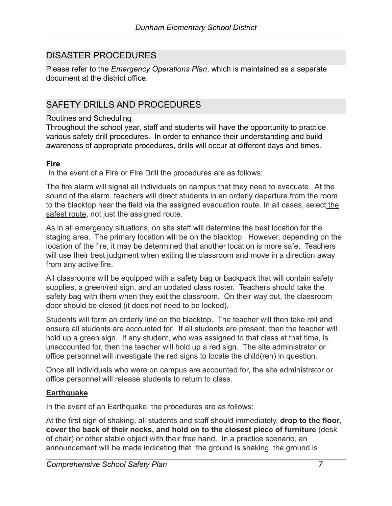## DISASTER PROCEDURES

Please refer to the *Emergency Operations Plan*, which is maintained as a separate document at the district office.

## SAFETY DRILLS AND PROCEDURES

#### Routines and Scheduling

Throughout the school year, staff and students will have the opportunity to practice various safety drill procedures. In order to enhance their understanding and build awareness of appropriate procedures, drills will occur at different days and times.

#### **Fire**

In the event of a Fire or Fire Drill the procedures are as follows:

The fire alarm will signal all individuals on campus that they need to evacuate. At the sound of the alarm, teachers will direct students in an orderly departure from the room to the blacktop near the field via the assigned evacuation route. In all cases, select the safest route, not just the assigned route.

As in all emergency situations, on site staff will determine the best location for the staging area. The primary location will be on the blacktop. However, depending on the location of the fire, it may be determined that another location is more safe. Teachers will use their best judgment when exiting the classroom and move in a direction away from any active fire.

All classrooms will be equipped with a safety bag or backpack that will contain safety supplies, a green/red sign, and an updated class roster. Teachers should take the safety bag with them when they exit the classroom. On their way out, the classroom door should be closed (it does not need to be locked).

Students will form an orderly line on the blacktop. The teacher will then take roll and ensure all students are accounted for. If all students are present, then the teacher will hold up a green sign. If any student, who was assigned to that class at that time, is unaccounted for, then the teacher will hold up a red sign. The site administrator or office personnel will investigate the red signs to locate the child(ren) in question.

Once all individuals who were on campus are accounted for, the site administrator or office personnel will release students to return to class.

#### **Earthquake**

In the event of an Earthquake, the procedures are as follows:

At the first sign of shaking, all students and staff should immediately, **drop to the floor, cover the back of their necks, and hold on to the closest piece of furniture** (desk of chair) or other stable object with their free hand. In a practice scenario, an announcement will be made indicating that "the ground is shaking, the ground is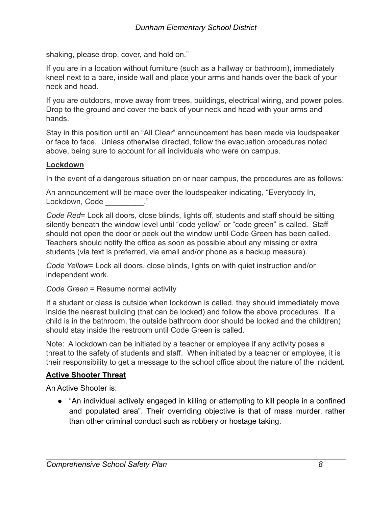shaking, please drop, cover, and hold on."

If you are in a location without furniture (such as a hallway or bathroom), immediately kneel next to a bare, inside wall and place your arms and hands over the back of your neck and head.

If you are outdoors, move away from trees, buildings, electrical wiring, and power poles. Drop to the ground and cover the back of your neck and head with your arms and hands.

Stay in this position until an "All Clear" announcement has been made via loudspeaker or face to face. Unless otherwise directed, follow the evacuation procedures noted above, being sure to account for all individuals who were on campus.

#### **Lockdown**

In the event of a dangerous situation on or near campus, the procedures are as follows:

An announcement will be made over the loudspeaker indicating, "Everybody In, Lockdown, Code [19]

*Code Red*= Lock all doors, close blinds, lights off, students and staff should be sitting silently beneath the window level until "code yellow" or "code green" is called. Staff should not open the door or peek out the window until Code Green has been called. Teachers should notify the office as soon as possible about any missing or extra students (via text is preferred, via email and/or phone as a backup measure).

*Code Yellow*= Lock all doors, close blinds, lights on with quiet instruction and/or independent work.

*Code Green* = Resume normal activity

If a student or class is outside when lockdown is called, they should immediately move inside the nearest building (that can be locked) and follow the above procedures. If a child is in the bathroom, the outside bathroom door should be locked and the child(ren) should stay inside the restroom until Code Green is called.

Note: A lockdown can be initiated by a teacher or employee if any activity poses a threat to the safety of students and staff. When initiated by a teacher or employee, it is their responsibility to get a message to the school office about the nature of the incident.

#### **Active Shooter Threat**

An Active Shooter is:

● "An individual actively engaged in killing or attempting to kill people in a confined and populated area". Their overriding objective is that of mass murder, rather than other criminal conduct such as robbery or hostage taking.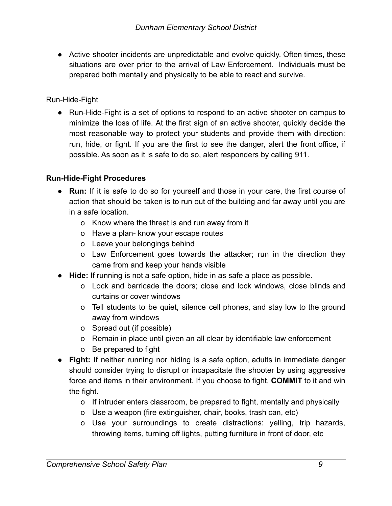• Active shooter incidents are unpredictable and evolve quickly. Often times, these situations are over prior to the arrival of Law Enforcement. Individuals must be prepared both mentally and physically to be able to react and survive.

Run-Hide-Fight

● Run-Hide-Fight is a set of options to respond to an active shooter on campus to minimize the loss of life. At the first sign of an active shooter, quickly decide the most reasonable way to protect your students and provide them with direction: run, hide, or fight. If you are the first to see the danger, alert the front office, if possible. As soon as it is safe to do so, alert responders by calling 911.

#### **Run-Hide-Fight Procedures**

- **Run:** If it is safe to do so for yourself and those in your care, the first course of action that should be taken is to run out of the building and far away until you are in a safe location.
	- o Know where the threat is and run away from it
	- o Have a plan- know your escape routes
	- o Leave your belongings behind
	- o Law Enforcement goes towards the attacker; run in the direction they came from and keep your hands visible
- **Hide:** If running is not a safe option, hide in as safe a place as possible.
	- o Lock and barricade the doors; close and lock windows, close blinds and curtains or cover windows
	- o Tell students to be quiet, silence cell phones, and stay low to the ground away from windows
	- o Spread out (if possible)
	- o Remain in place until given an all clear by identifiable law enforcement
	- o Be prepared to fight
- **Fight:** If neither running nor hiding is a safe option, adults in immediate danger should consider trying to disrupt or incapacitate the shooter by using aggressive force and items in their environment. If you choose to fight, **COMMIT** to it and win the fight.
	- o If intruder enters classroom, be prepared to fight, mentally and physically
	- o Use a weapon (fire extinguisher, chair, books, trash can, etc)
	- o Use your surroundings to create distractions: yelling, trip hazards, throwing items, turning off lights, putting furniture in front of door, etc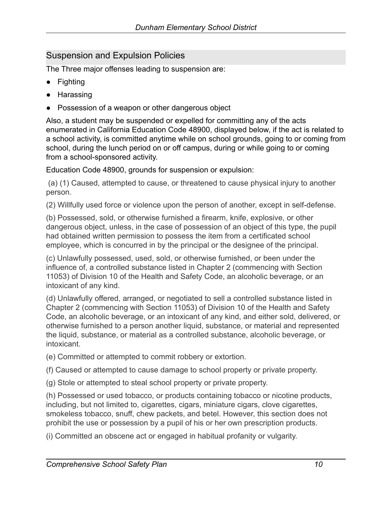## <span id="page-11-0"></span>Suspension and Expulsion Policies

The Three major offenses leading to suspension are:

- Fighting
- Harassing
- Possession of a weapon or other dangerous object

Also, a student may be suspended or expelled for committing any of the acts enumerated in California Education Code 48900, displayed below, if the act is related to a school activity, is committed anytime while on school grounds, going to or coming from school, during the lunch period on or off campus, during or while going to or coming from a school-sponsored activity.

Education Code 48900, grounds for suspension or expulsion:

(a) (1) Caused, attempted to cause, or threatened to cause physical injury to another person.

(2) Willfully used force or violence upon the person of another, except in self-defense.

(b) Possessed, sold, or otherwise furnished a firearm, knife, explosive, or other dangerous object, unless, in the case of possession of an object of this type, the pupil had obtained written permission to possess the item from a certificated school employee, which is concurred in by the principal or the designee of the principal.

(c) Unlawfully possessed, used, sold, or otherwise furnished, or been under the influence of, a controlled substance listed in Chapter 2 (commencing with Section 11053) of Division 10 of the Health and Safety Code, an alcoholic beverage, or an intoxicant of any kind.

(d) Unlawfully offered, arranged, or negotiated to sell a controlled substance listed in Chapter 2 (commencing with Section 11053) of Division 10 of the Health and Safety Code, an alcoholic beverage, or an intoxicant of any kind, and either sold, delivered, or otherwise furnished to a person another liquid, substance, or material and represented the liquid, substance, or material as a controlled substance, alcoholic beverage, or intoxicant.

(e) Committed or attempted to commit robbery or extortion.

(f) Caused or attempted to cause damage to school property or private property.

(g) Stole or attempted to steal school property or private property.

(h) Possessed or used tobacco, or products containing tobacco or nicotine products, including, but not limited to, cigarettes, cigars, miniature cigars, clove cigarettes, smokeless tobacco, snuff, chew packets, and betel. However, this section does not prohibit the use or possession by a pupil of his or her own prescription products.

(i) Committed an obscene act or engaged in habitual profanity or vulgarity.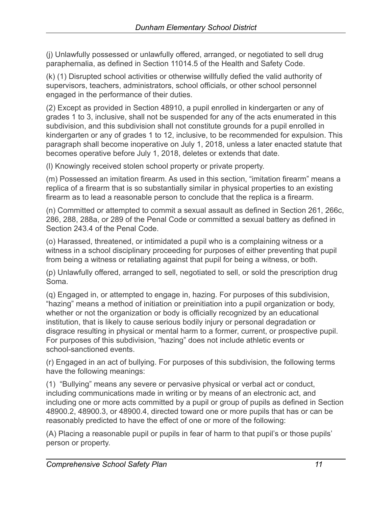(j) Unlawfully possessed or unlawfully offered, arranged, or negotiated to sell drug paraphernalia, as defined in Section 11014.5 of the Health and Safety Code.

(k) (1) Disrupted school activities or otherwise willfully defied the valid authority of supervisors, teachers, administrators, school officials, or other school personnel engaged in the performance of their duties.

(2) Except as provided in Section 48910, a pupil enrolled in kindergarten or any of grades 1 to 3, inclusive, shall not be suspended for any of the acts enumerated in this subdivision, and this subdivision shall not constitute grounds for a pupil enrolled in kindergarten or any of grades 1 to 12, inclusive, to be recommended for expulsion. This paragraph shall become inoperative on July 1, 2018, unless a later enacted statute that becomes operative before July 1, 2018, deletes or extends that date.

(l) Knowingly received stolen school property or private property.

(m) Possessed an imitation firearm. As used in this section, "imitation firearm" means a replica of a firearm that is so substantially similar in physical properties to an existing firearm as to lead a reasonable person to conclude that the replica is a firearm.

(n) Committed or attempted to commit a sexual assault as defined in Section 261, 266c, 286, 288, 288a, or 289 of the Penal Code or committed a sexual battery as defined in Section 243.4 of the Penal Code.

(o) Harassed, threatened, or intimidated a pupil who is a complaining witness or a witness in a school disciplinary proceeding for purposes of either preventing that pupil from being a witness or retaliating against that pupil for being a witness, or both.

(p) Unlawfully offered, arranged to sell, negotiated to sell, or sold the prescription drug Soma.

(q) Engaged in, or attempted to engage in, hazing. For purposes of this subdivision, "hazing" means a method of initiation or preinitiation into a pupil organization or body, whether or not the organization or body is officially recognized by an educational institution, that is likely to cause serious bodily injury or personal degradation or disgrace resulting in physical or mental harm to a former, current, or prospective pupil. For purposes of this subdivision, "hazing" does not include athletic events or school-sanctioned events.

(r) Engaged in an act of bullying. For purposes of this subdivision, the following terms have the following meanings:

(1) "Bullying" means any severe or pervasive physical or verbal act or conduct, including communications made in writing or by means of an electronic act, and including one or more acts committed by a pupil or group of pupils as defined in Section 48900.2, 48900.3, or 48900.4, directed toward one or more pupils that has or can be reasonably predicted to have the effect of one or more of the following:

(A) Placing a reasonable pupil or pupils in fear of harm to that pupil's or those pupils' person or property.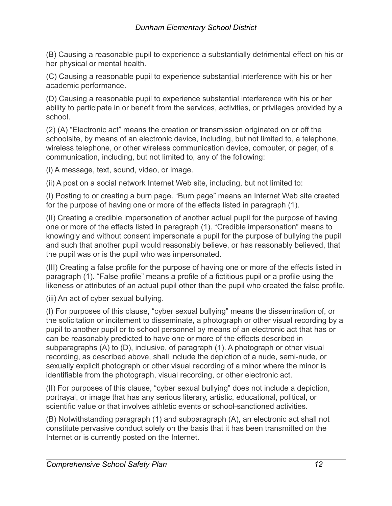(B) Causing a reasonable pupil to experience a substantially detrimental effect on his or her physical or mental health.

(C) Causing a reasonable pupil to experience substantial interference with his or her academic performance.

(D) Causing a reasonable pupil to experience substantial interference with his or her ability to participate in or benefit from the services, activities, or privileges provided by a school.

(2) (A) "Electronic act" means the creation or transmission originated on or off the schoolsite, by means of an electronic device, including, but not limited to, a telephone, wireless telephone, or other wireless communication device, computer, or pager, of a communication, including, but not limited to, any of the following:

(i) A message, text, sound, video, or image.

(ii) A post on a social network Internet Web site, including, but not limited to:

(I) Posting to or creating a burn page. "Burn page" means an Internet Web site created for the purpose of having one or more of the effects listed in paragraph (1).

(II) Creating a credible impersonation of another actual pupil for the purpose of having one or more of the effects listed in paragraph (1). "Credible impersonation" means to knowingly and without consent impersonate a pupil for the purpose of bullying the pupil and such that another pupil would reasonably believe, or has reasonably believed, that the pupil was or is the pupil who was impersonated.

(III) Creating a false profile for the purpose of having one or more of the effects listed in paragraph (1). "False profile" means a profile of a fictitious pupil or a profile using the likeness or attributes of an actual pupil other than the pupil who created the false profile.

(iii) An act of cyber sexual bullying.

(I) For purposes of this clause, "cyber sexual bullying" means the dissemination of, or the solicitation or incitement to disseminate, a photograph or other visual recording by a pupil to another pupil or to school personnel by means of an electronic act that has or can be reasonably predicted to have one or more of the effects described in subparagraphs (A) to (D), inclusive, of paragraph (1). A photograph or other visual recording, as described above, shall include the depiction of a nude, semi-nude, or sexually explicit photograph or other visual recording of a minor where the minor is identifiable from the photograph, visual recording, or other electronic act.

(II) For purposes of this clause, "cyber sexual bullying" does not include a depiction, portrayal, or image that has any serious literary, artistic, educational, political, or scientific value or that involves athletic events or school-sanctioned activities.

(B) Notwithstanding paragraph (1) and subparagraph (A), an electronic act shall not constitute pervasive conduct solely on the basis that it has been transmitted on the Internet or is currently posted on the Internet.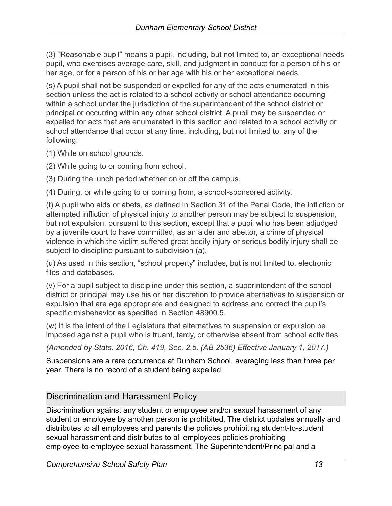(3) "Reasonable pupil" means a pupil, including, but not limited to, an exceptional needs pupil, who exercises average care, skill, and judgment in conduct for a person of his or her age, or for a person of his or her age with his or her exceptional needs.

(s) A pupil shall not be suspended or expelled for any of the acts enumerated in this section unless the act is related to a school activity or school attendance occurring within a school under the jurisdiction of the superintendent of the school district or principal or occurring within any other school district. A pupil may be suspended or expelled for acts that are enumerated in this section and related to a school activity or school attendance that occur at any time, including, but not limited to, any of the following:

(1) While on school grounds.

(2) While going to or coming from school.

(3) During the lunch period whether on or off the campus.

(4) During, or while going to or coming from, a school-sponsored activity.

(t) A pupil who aids or abets, as defined in Section 31 of the Penal Code, the infliction or attempted infliction of physical injury to another person may be subject to suspension, but not expulsion, pursuant to this section, except that a pupil who has been adjudged by a juvenile court to have committed, as an aider and abettor, a crime of physical violence in which the victim suffered great bodily injury or serious bodily injury shall be subject to discipline pursuant to subdivision (a).

(u) As used in this section, "school property" includes, but is not limited to, electronic files and databases.

(v) For a pupil subject to discipline under this section, a superintendent of the school district or principal may use his or her discretion to provide alternatives to suspension or expulsion that are age appropriate and designed to address and correct the pupil's specific misbehavior as specified in Section 48900.5.

(w) It is the intent of the Legislature that alternatives to suspension or expulsion be imposed against a pupil who is truant, tardy, or otherwise absent from school activities.

*(Amended by Stats. 2016, Ch. 419, Sec. 2.5. (AB 2536) Effective January 1, 2017.)*

Suspensions are a rare occurrence at Dunham School, averaging less than three per year. There is no record of a student being expelled.

## <span id="page-14-0"></span>Discrimination and Harassment Policy

Discrimination against any student or employee and/or sexual harassment of any student or employee by another person is prohibited. The district updates annually and distributes to all employees and parents the policies prohibiting student-to-student sexual harassment and distributes to all employees policies prohibiting employee-to-employee sexual harassment. The Superintendent/Principal and a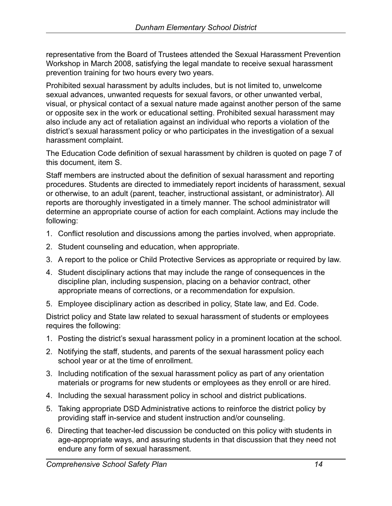representative from the Board of Trustees attended the Sexual Harassment Prevention Workshop in March 2008, satisfying the legal mandate to receive sexual harassment prevention training for two hours every two years.

Prohibited sexual harassment by adults includes, but is not limited to, unwelcome sexual advances, unwanted requests for sexual favors, or other unwanted verbal, visual, or physical contact of a sexual nature made against another person of the same or opposite sex in the work or educational setting. Prohibited sexual harassment may also include any act of retaliation against an individual who reports a violation of the district's sexual harassment policy or who participates in the investigation of a sexual harassment complaint.

The Education Code definition of sexual harassment by children is quoted on page 7 of this document, item S.

Staff members are instructed about the definition of sexual harassment and reporting procedures. Students are directed to immediately report incidents of harassment, sexual or otherwise, to an adult (parent, teacher, instructional assistant, or administrator). All reports are thoroughly investigated in a timely manner. The school administrator will determine an appropriate course of action for each complaint. Actions may include the following:

- 1. Conflict resolution and discussions among the parties involved, when appropriate.
- 2. Student counseling and education, when appropriate.
- 3. A report to the police or Child Protective Services as appropriate or required by law.
- 4. Student disciplinary actions that may include the range of consequences in the discipline plan, including suspension, placing on a behavior contract, other appropriate means of corrections, or a recommendation for expulsion.
- 5. Employee disciplinary action as described in policy, State law, and Ed. Code.

District policy and State law related to sexual harassment of students or employees requires the following:

- 1. Posting the district's sexual harassment policy in a prominent location at the school.
- 2. Notifying the staff, students, and parents of the sexual harassment policy each school year or at the time of enrollment.
- 3. Including notification of the sexual harassment policy as part of any orientation materials or programs for new students or employees as they enroll or are hired.
- 4. Including the sexual harassment policy in school and district publications.
- 5. Taking appropriate DSD Administrative actions to reinforce the district policy by providing staff in-service and student instruction and/or counseling.
- 6. Directing that teacher-led discussion be conducted on this policy with students in age-appropriate ways, and assuring students in that discussion that they need not endure any form of sexual harassment.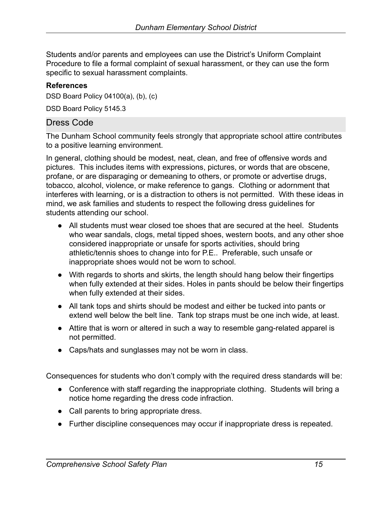Students and/or parents and employees can use the District's Uniform Complaint Procedure to file a formal complaint of sexual harassment, or they can use the form specific to sexual harassment complaints.

#### **References**

DSD Board Policy 04100(a), (b), (c)

DSD Board Policy 5145.3

### <span id="page-16-0"></span>Dress Code

The Dunham School community feels strongly that appropriate school attire contributes to a positive learning environment.

In general, clothing should be modest, neat, clean, and free of offensive words and pictures. This includes items with expressions, pictures, or words that are obscene, profane, or are disparaging or demeaning to others, or promote or advertise drugs, tobacco, alcohol, violence, or make reference to gangs. Clothing or adornment that interferes with learning, or is a distraction to others is not permitted. With these ideas in mind, we ask families and students to respect the following dress guidelines for students attending our school.

- All students must wear closed toe shoes that are secured at the heel. Students who wear sandals, clogs, metal tipped shoes, western boots, and any other shoe considered inappropriate or unsafe for sports activities, should bring athletic/tennis shoes to change into for P.E.. Preferable, such unsafe or inappropriate shoes would not be worn to school.
- With regards to shorts and skirts, the length should hang below their fingertips when fully extended at their sides. Holes in pants should be below their fingertips when fully extended at their sides.
- All tank tops and shirts should be modest and either be tucked into pants or extend well below the belt line. Tank top straps must be one inch wide, at least.
- Attire that is worn or altered in such a way to resemble gang-related apparel is not permitted.
- Caps/hats and sunglasses may not be worn in class.

Consequences for students who don't comply with the required dress standards will be:

- Conference with staff regarding the inappropriate clothing. Students will bring a notice home regarding the dress code infraction.
- Call parents to bring appropriate dress.
- Further discipline consequences may occur if inappropriate dress is repeated.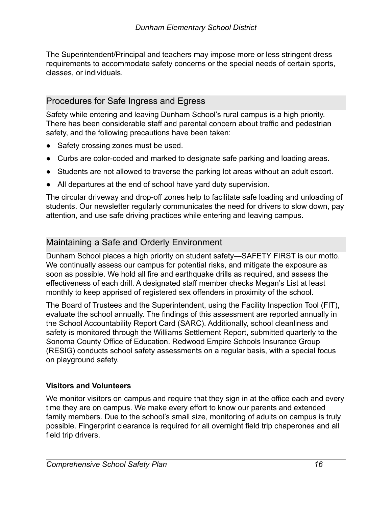The Superintendent/Principal and teachers may impose more or less stringent dress requirements to accommodate safety concerns or the special needs of certain sports, classes, or individuals.

## <span id="page-17-0"></span>Procedures for Safe Ingress and Egress

Safety while entering and leaving Dunham School's rural campus is a high priority. There has been considerable staff and parental concern about traffic and pedestrian safety, and the following precautions have been taken:

- Safety crossing zones must be used.
- Curbs are color-coded and marked to designate safe parking and loading areas.
- Students are not allowed to traverse the parking lot areas without an adult escort.
- All departures at the end of school have yard duty supervision.

The circular driveway and drop-off zones help to facilitate safe loading and unloading of students. Our newsletter regularly communicates the need for drivers to slow down, pay attention, and use safe driving practices while entering and leaving campus.

## <span id="page-17-1"></span>Maintaining a Safe and Orderly Environment

Dunham School places a high priority on student safety—SAFETY FIRST is our motto. We continually assess our campus for potential risks, and mitigate the exposure as soon as possible. We hold all fire and earthquake drills as required, and assess the effectiveness of each drill. A designated staff member checks Megan's List at least monthly to keep apprised of registered sex offenders in proximity of the school.

The Board of Trustees and the Superintendent, using the Facility Inspection Tool (FIT), evaluate the school annually. The findings of this assessment are reported annually in the School Accountability Report Card (SARC). Additionally, school cleanliness and safety is monitored through the Williams Settlement Report, submitted quarterly to the Sonoma County Office of Education. Redwood Empire Schools Insurance Group (RESIG) conducts school safety assessments on a regular basis, with a special focus on playground safety.

#### **Visitors and Volunteers**

We monitor visitors on campus and require that they sign in at the office each and every time they are on campus. We make every effort to know our parents and extended family members. Due to the school's small size, monitoring of adults on campus is truly possible. Fingerprint clearance is required for all overnight field trip chaperones and all field trip drivers.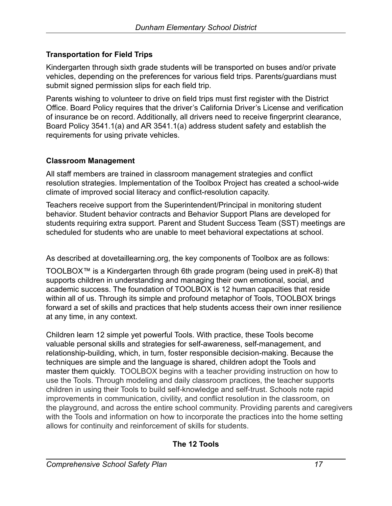### **Transportation for Field Trips**

Kindergarten through sixth grade students will be transported on buses and/or private vehicles, depending on the preferences for various field trips. Parents/guardians must submit signed permission slips for each field trip.

Parents wishing to volunteer to drive on field trips must first register with the District Office. Board Policy requires that the driver's California Driver's License and verification of insurance be on record. Additionally, all drivers need to receive fingerprint clearance, Board Policy 3541.1(a) and AR 3541.1(a) address student safety and establish the requirements for using private vehicles.

#### **Classroom Management**

All staff members are trained in classroom management strategies and conflict resolution strategies. Implementation of the Toolbox Project has created a school-wide climate of improved social literacy and conflict-resolution capacity.

Teachers receive support from the Superintendent/Principal in monitoring student behavior. Student behavior contracts and Behavior Support Plans are developed for students requiring extra support. Parent and Student Success Team (SST) meetings are scheduled for students who are unable to meet behavioral expectations at school.

As described at dovetaillearning.org, the key components of Toolbox are as follows:

TOOLBOX™ is a Kindergarten through 6th grade program (being used in preK-8) that supports children in understanding and managing their own emotional, social, and academic success. The foundation of TOOLBOX is 12 human capacities that reside within all of us. Through its simple and profound metaphor of Tools, TOOLBOX brings forward a set of skills and practices that help students access their own inner resilience at any time, in any context.

Children learn 12 simple yet powerful Tools. With practice, these Tools become valuable personal skills and strategies for self-awareness, self-management, and relationship-building, which, in turn, foster responsible decision-making. Because the techniques are simple and the language is shared, children adopt the Tools and master them quickly. TOOLBOX begins with a teacher providing instruction on how to use the Tools. Through modeling and daily classroom practices, the teacher supports children in using their Tools to build self-knowledge and self-trust. Schools note rapid improvements in communication, civility, and conflict resolution in the classroom, on the playground, and across the entire school community. Providing parents and caregivers with the Tools and information on how to incorporate the practices into the home setting allows for continuity and reinforcement of skills for students.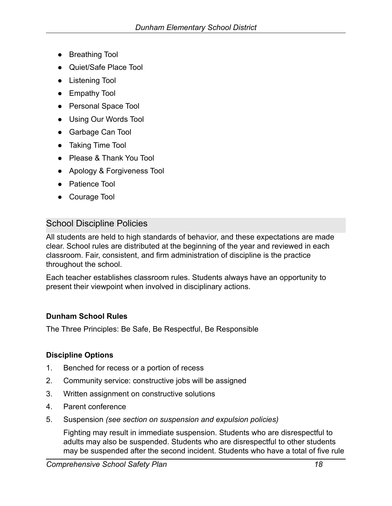- Breathing Tool
- Quiet/Safe Place Tool
- Listening Tool
- Empathy Tool
- Personal Space Tool
- Using Our Words Tool
- Garbage Can Tool
- Taking Time Tool
- Please & Thank You Tool
- Apology & Forgiveness Tool
- **Patience Tool**
- Courage Tool

### School Discipline Policies

All students are held to high standards of behavior, and these expectations are made clear. School rules are distributed at the beginning of the year and reviewed in each classroom. Fair, consistent, and firm administration of discipline is the practice throughout the school.

Each teacher establishes classroom rules. Students always have an opportunity to present their viewpoint when involved in disciplinary actions.

#### **Dunham School Rules**

The Three Principles: Be Safe, Be Respectful, Be Responsible

#### **Discipline Options**

- 1. Benched for recess or a portion of recess
- 2. Community service: constructive jobs will be assigned
- 3. Written assignment on constructive solutions
- 4. Parent conference
- 5. Suspension *(see section on suspension and expulsion policies)*

Fighting may result in immediate suspension. Students who are disrespectful to adults may also be suspended. Students who are disrespectful to other students may be suspended after the second incident. Students who have a total of five rule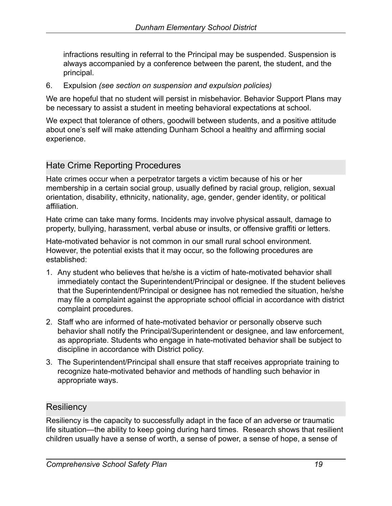infractions resulting in referral to the Principal may be suspended. Suspension is always accompanied by a conference between the parent, the student, and the principal.

6. Expulsion *(see section on suspension and expulsion policies)*

We are hopeful that no student will persist in misbehavior. Behavior Support Plans may be necessary to assist a student in meeting behavioral expectations at school.

We expect that tolerance of others, goodwill between students, and a positive attitude about one's self will make attending Dunham School a healthy and affirming social experience.

## Hate Crime Reporting Procedures

Hate crimes occur when a perpetrator targets a victim because of his or her membership in a certain [social group](http://en.wikipedia.org/wiki/Social_group), usually defined by [racial group,](http://en.wikipedia.org/wiki/Race_(classification_of_human_beings)) [religion](http://en.wikipedia.org/wiki/Religion), [sexual](http://en.wikipedia.org/wiki/Sexual_orientation) [orientation](http://en.wikipedia.org/wiki/Sexual_orientation), [disability,](http://en.wikipedia.org/wiki/Disability) [ethnicity](http://en.wikipedia.org/wiki/Ethnicity), [nationality](http://en.wikipedia.org/wiki/Nationality), [age,](http://en.wikipedia.org/wiki/Ageing) [gender,](http://en.wikipedia.org/wiki/Gender) [gender identity](http://en.wikipedia.org/wiki/Gender_identity), or [political](http://en.wikipedia.org/wiki/Political_affiliation) [affiliation](http://en.wikipedia.org/wiki/Political_affiliation).

Hate crime can take many forms. Incidents may involve physical assault, damage to property, bullying, harassment, verbal abuse or insults, or offensive graffiti or letters.

Hate-motivated behavior is not common in our small rural school environment. However, the potential exists that it may occur, so the following procedures are established:

- 1. Any student who believes that he/she is a victim of hate-motivated behavior shall immediately contact the Superintendent/Principal or designee. If the student believes that the Superintendent/Principal or designee has not remedied the situation, he/she may file a complaint against the appropriate school official in accordance with district complaint procedures.
- 2. Staff who are informed of hate-motivated behavior or personally observe such behavior shall notify the Principal/Superintendent or designee, and law enforcement, as appropriate. Students who engage in hate-motivated behavior shall be subject to discipline in accordance with District policy.
- 3. The Superintendent/Principal shall ensure that staff receives appropriate training to recognize hate-motivated behavior and methods of handling such behavior in appropriate ways.

### **Resiliency**

Resiliency is the capacity to successfully adapt in the face of an adverse or traumatic life situation—the ability to keep going during hard times. Research shows that resilient children usually have a sense of worth, a sense of power, a sense of hope, a sense of